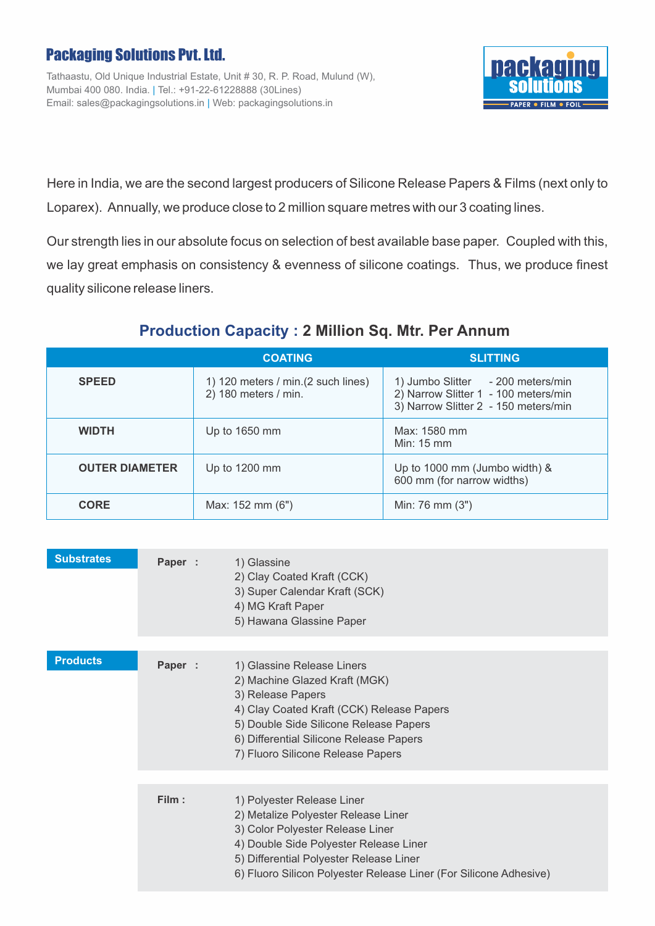## Packaging Solutions Pvt. Ltd.

Tathaastu, Old Unique Industrial Estate, Unit # 30, R. P. Road, Mulund (W), Mumbai 400 080. India. | Tel.: +91-22-61228888 (30Lines) Email: sales@packagingsolutions.in | Web: packagingsolutions.in



Here in India, we are the second largest producers of Silicone Release Papers & Films (next only to Loparex). Annually, we produce close to 2 million square metres with our 3 coating lines.

Our strength lies in our absolute focus on selection of best available base paper. Coupled with this, we lay great emphasis on consistency & evenness of silicone coatings. Thus, we produce finest quality silicone release liners.

## **Production Capacity : 2 Million Sq. Mtr. Per Annum**

|                       | <b>COATING</b>                                              | <b>SLITTING</b>                                                                                                   |  |
|-----------------------|-------------------------------------------------------------|-------------------------------------------------------------------------------------------------------------------|--|
| <b>SPEED</b>          | 1) 120 meters / min. (2 such lines)<br>2) 180 meters / min. | 1) Jumbo Slitter - 200 meters/min<br>2) Narrow Slitter 1 - 100 meters/min<br>3) Narrow Slitter 2 - 150 meters/min |  |
| <b>WIDTH</b>          | Up to 1650 mm                                               | Max: 1580 mm<br>Min: 15 mm                                                                                        |  |
| <b>OUTER DIAMETER</b> | Up to 1200 mm                                               | Up to 1000 mm (Jumbo width) &<br>600 mm (for narrow widths)                                                       |  |
| <b>CORE</b>           | Max: 152 mm (6")                                            | Min: 76 mm (3")                                                                                                   |  |

| <b>Substrates</b> | Paper : | 1) Glassine<br>2) Clay Coated Kraft (CCK)<br>3) Super Calendar Kraft (SCK)<br>4) MG Kraft Paper<br>5) Hawana Glassine Paper                                                                                                                                     |
|-------------------|---------|-----------------------------------------------------------------------------------------------------------------------------------------------------------------------------------------------------------------------------------------------------------------|
| <b>Products</b>   | Paper : | 1) Glassine Release Liners<br>2) Machine Glazed Kraft (MGK)<br>3) Release Papers<br>4) Clay Coated Kraft (CCK) Release Papers<br>5) Double Side Silicone Release Papers<br>6) Differential Silicone Release Papers<br>7) Fluoro Silicone Release Papers         |
|                   | Film:   | 1) Polyester Release Liner<br>2) Metalize Polyester Release Liner<br>3) Color Polyester Release Liner<br>4) Double Side Polyester Release Liner<br>5) Differential Polyester Release Liner<br>6) Fluoro Silicon Polyester Release Liner (For Silicone Adhesive) |